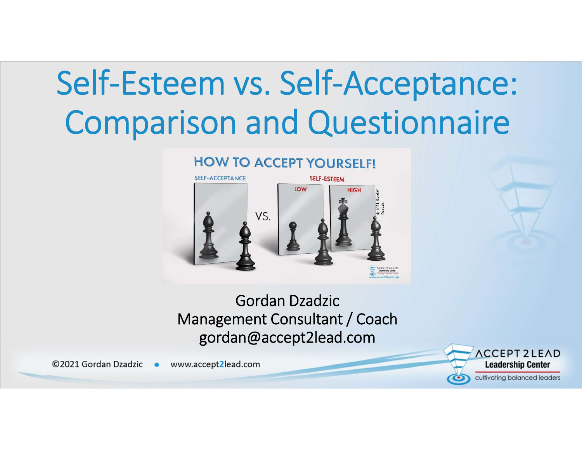## Self-Esteem vs. Self-Acceptance: Comparison and Questionnaire

#### **HOW TO ACCEPT YOURSELF!**



Gordan Dzadzic Management Consultant / Coach gordan@accept2lead.com

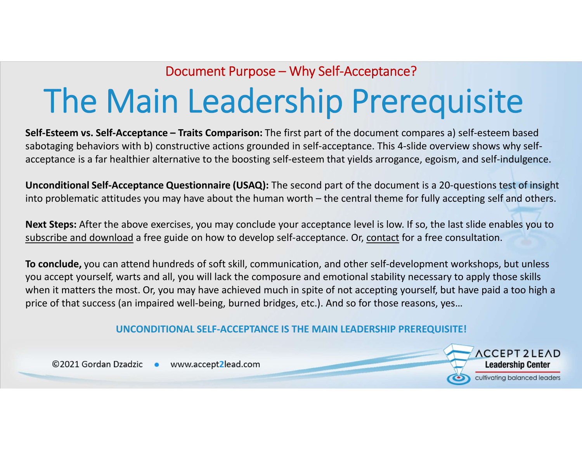### The Main Leadership Prerequisite Document Purpose – Why Self-Acceptance?

**Self-Esteem vs. Self-Acceptance – Traits Comparison:** The first part of the document compares a) self-esteem based sabotaging behaviors with b) constructive actions grounded in self-acceptance. This 4-slide overview shows why selfacceptance is a far healthier alternative to the boosting self-esteem that yields arrogance, egoism, and self-indulgence.

**Unconditional Self-Acceptance Questionnaire (USAQ):** The second part of the document is a 20-questions test of insight into problematic attitudes you may have about the human worth – the central theme for fully accepting self and others.

**Next Steps:** After the above exercises, you may conclude your acceptance level is low. If so, the last slide enables you to subscribe and download a free guide on how to develop self-acceptance. Or, contact for a free consultation.

**To conclude,** you can attend hundreds of soft skill, communication, and other self-development workshops, but unless you accept yourself, warts and all, you will lack the composure and emotional stability necessary to apply those skills when it matters the most. Or, you may have achieved much in spite of not accepting yourself, but have paid a too high a price of that success (an impaired well-being, burned bridges, etc.). And so for those reasons, yes…

#### **UNCONDITIONAL SELF-ACCEPTANCE IS THE MAIN LEADERSHIP PREREQUISITE!**

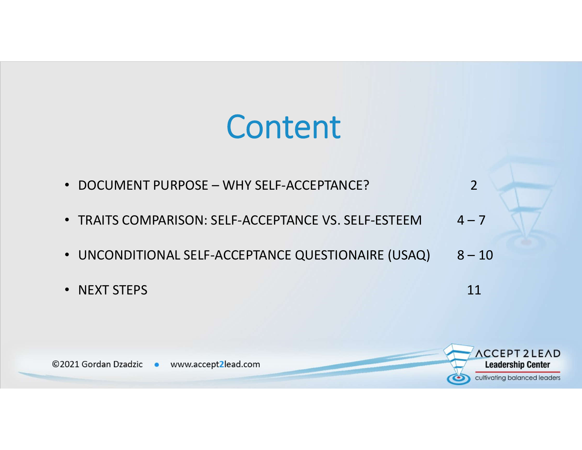### Content

- DOCUMENT PURPOSE WHY SELF-ACCEPTANCE? 2
- TRAITS COMPARISON: SELF-ACCEPTANCE VS. SELF-ESTEEM 4-7
- UNCONDITIONAL SELF-ACCEPTANCE QUESTIONAIRE (USAQ) 8-10
- NEXT STEPS 11
	-

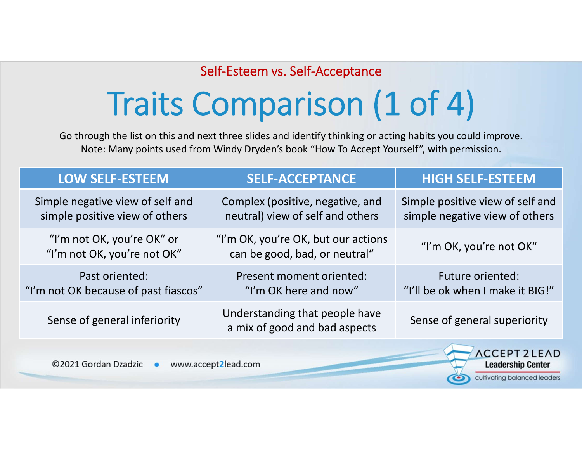# Traits Comparison (1 of 4)

Go through the list on this and next three slides and identify thinking or acting habits you could improve. Note: Many points used from Windy Dryden's book "How To Accept Yourself", with permission.

| <b>LOW SELF-ESTEEM</b>                                             | <b>SELF-ACCEPTANCE</b>                                               | <b>HIGH SELF-ESTEEM</b>                                            |
|--------------------------------------------------------------------|----------------------------------------------------------------------|--------------------------------------------------------------------|
| Simple negative view of self and<br>simple positive view of others | Complex (positive, negative, and<br>neutral) view of self and others | Simple positive view of self and<br>simple negative view of others |
| "I'm not OK, you're OK" or<br>"I'm not OK, you're not OK"          | "I'm OK, you're OK, but our actions<br>can be good, bad, or neutral" | "I'm OK, you're not OK"                                            |
| Past oriented:<br>"I'm not OK because of past fiascos"             | Present moment oriented:<br>"I'm OK here and now"                    | <b>Future oriented:</b><br>"I'll be ok when I make it BIG!"        |
| Sense of general inferiority                                       | Understanding that people have<br>a mix of good and bad aspects      | Sense of general superiority                                       |
|                                                                    |                                                                      | ACCEDIT JI EAD                                                     |

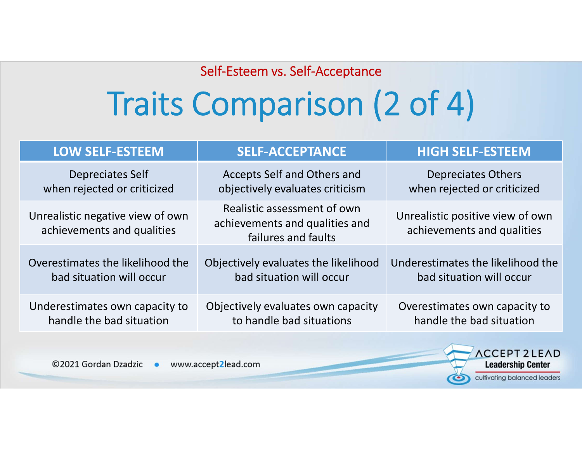## Traits Comparison (2 of 4)

| <b>LOW SELF-ESTEEM</b>                                         | <b>SELF-ACCEPTANCE</b>                                                               | <b>HIGH SELF-ESTEEM</b>                                        |
|----------------------------------------------------------------|--------------------------------------------------------------------------------------|----------------------------------------------------------------|
| <b>Depreciates Self</b>                                        | Accepts Self and Others and                                                          | <b>Depreciates Others</b>                                      |
| when rejected or criticized                                    | objectively evaluates criticism                                                      | when rejected or criticized                                    |
| Unrealistic negative view of own<br>achievements and qualities | Realistic assessment of own<br>achievements and qualities and<br>failures and faults | Unrealistic positive view of own<br>achievements and qualities |
| Overestimates the likelihood the                               | Objectively evaluates the likelihood                                                 | Underestimates the likelihood the                              |
| bad situation will occur                                       | bad situation will occur                                                             | bad situation will occur                                       |
| Underestimates own capacity to                                 | Objectively evaluates own capacity                                                   | Overestimates own capacity to                                  |
| handle the bad situation                                       | to handle bad situations                                                             | handle the bad situation                                       |
|                                                                |                                                                                      | <b>ACCEPT 21 FAD</b>                                           |

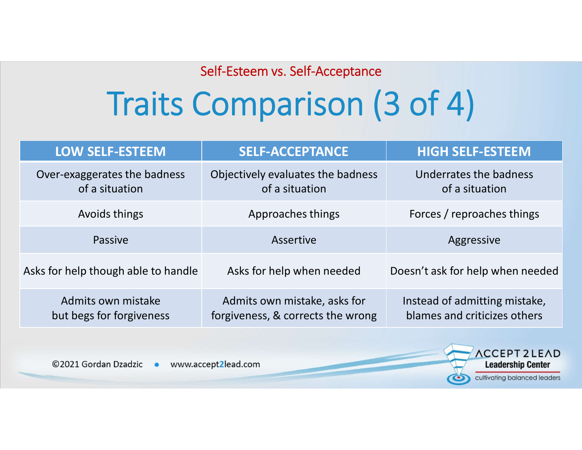## Traits Comparison (3 of 4)

| <b>LOW SELF-ESTEEM</b>                         | <b>SELF-ACCEPTANCE</b>                                            | <b>HIGH SELF-ESTEEM</b>                                       |  |  |
|------------------------------------------------|-------------------------------------------------------------------|---------------------------------------------------------------|--|--|
| Over-exaggerates the badness<br>of a situation | Objectively evaluates the badness<br>of a situation               | Underrates the badness<br>of a situation                      |  |  |
| Avoids things                                  | Approaches things                                                 | Forces / reproaches things                                    |  |  |
| Passive                                        | Assertive                                                         | Aggressive                                                    |  |  |
| Asks for help though able to handle            | Asks for help when needed                                         | Doesn't ask for help when needed                              |  |  |
| Admits own mistake<br>but begs for forgiveness | Admits own mistake, asks for<br>forgiveness, & corrects the wrong | Instead of admitting mistake,<br>blames and criticizes others |  |  |
|                                                |                                                                   |                                                               |  |  |

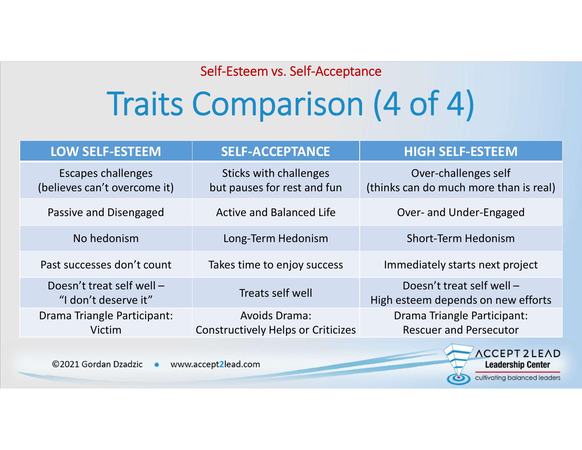# Traits Comparison (4 of 4)

| <b>LOW SELF-ESTEEM</b>                                    | <b>SELF-ACCEPTANCE</b>                                            | <b>HIGH SELF-ESTEEM</b>                                         |
|-----------------------------------------------------------|-------------------------------------------------------------------|-----------------------------------------------------------------|
| <b>Escapes challenges</b><br>(believes can't overcome it) | Sticks with challenges<br>but pauses for rest and fun             | Over-challenges self<br>(thinks can do much more than is real)  |
| Passive and Disengaged                                    | <b>Active and Balanced Life</b>                                   | Over- and Under-Engaged                                         |
| No hedonism                                               | Long-Term Hedonism                                                | <b>Short-Term Hedonism</b>                                      |
| Past successes don't count                                | Takes time to enjoy success                                       | Immediately starts next project                                 |
| Doesn't treat self well -<br>"I don't deserve it"         | Treats self well                                                  | Doesn't treat self well -<br>High esteem depends on new efforts |
| Drama Triangle Participant:<br>Victim                     | <b>Avoids Drama:</b><br><b>Constructively Helps or Criticizes</b> | Drama Triangle Participant:<br><b>Rescuer and Persecutor</b>    |
|                                                           |                                                                   | <b>STATE</b>                                                    |

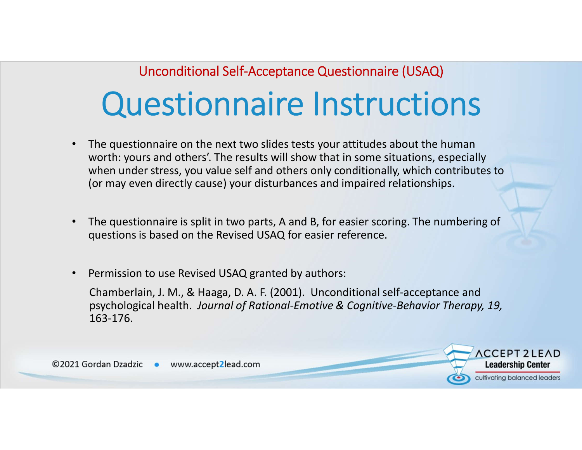### Questionnaire Instructions Unconditional Self-Acceptance Questionnaire (USAQ)

- The questionnaire on the next two slides tests your attitudes about the human worth: yours and others'. The results will show that in some situations, especially when under stress, you value self and others only conditionally, which contributes to (or may even directly cause) your disturbances and impaired relationships.
- The questionnaire is split in two parts, A and B, for easier scoring. The numbering of questions is based on the Revised USAQ for easier reference.
- Permission to use Revised USAQ granted by authors:

Chamberlain, J. M., & Haaga, D. A. F. (2001). Unconditional self-acceptance and psychological health. *Journal of Rational-Emotive & Cognitive-Behavior Therapy, 19,* 163-176.

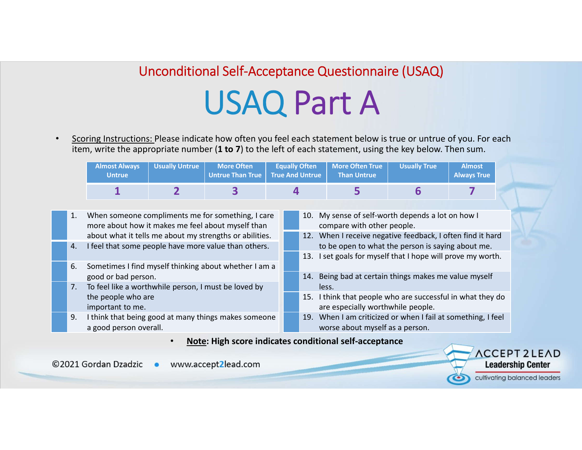### USAQ Part A Unconditional Self-Acceptance Questionnaire (USAQ)

• Scoring Instructions: Please indicate how often you feel each statement below is true or untrue of you. For each item, write the appropriate number (**1 to 7**) to the left of each statement, using the key below. Then sum.

|                                                                                                              | <b>Almost Always</b><br><b>Untrue</b>                                                                                                      | <b>Usually Untrue</b> | <b>More Often</b><br><b>Untrue Than True</b> | <b>Equally Often</b><br><b>True And Untrue</b>                                                     |                                                                                                                                           | <b>More Often True</b><br><b>Than Untrue</b>                                                                     | <b>Usually True</b>                                        | <b>Almost</b><br><b>Always True</b> |                             |  |
|--------------------------------------------------------------------------------------------------------------|--------------------------------------------------------------------------------------------------------------------------------------------|-----------------------|----------------------------------------------|----------------------------------------------------------------------------------------------------|-------------------------------------------------------------------------------------------------------------------------------------------|------------------------------------------------------------------------------------------------------------------|------------------------------------------------------------|-------------------------------------|-----------------------------|--|
|                                                                                                              | 1                                                                                                                                          |                       |                                              |                                                                                                    | 4                                                                                                                                         | 5                                                                                                                | 6                                                          |                                     |                             |  |
| When someone compliments me for something, I care<br>1.<br>more about how it makes me feel about myself than |                                                                                                                                            |                       |                                              | 10.                                                                                                | My sense of self-worth depends a lot on how I<br>compare with other people.<br>12. When I receive negative feedback, I often find it hard |                                                                                                                  |                                                            |                                     |                             |  |
| 4.                                                                                                           | about what it tells me about my strengths or abilities.<br>I feel that some people have more value than others.                            |                       |                                              |                                                                                                    |                                                                                                                                           | to be open to what the person is saying about me.<br>13. I set goals for myself that I hope will prove my worth. |                                                            |                                     |                             |  |
| 6.                                                                                                           | Sometimes I find myself thinking about whether I am a<br>good or bad person.<br>To feel like a worthwhile person, I must be loved by<br>7. |                       |                                              |                                                                                                    | 14.                                                                                                                                       | Being bad at certain things makes me value myself<br>less.                                                       |                                                            |                                     |                             |  |
|                                                                                                              | the people who are<br>important to me.                                                                                                     |                       |                                              |                                                                                                    |                                                                                                                                           | are especially worthwhile people.                                                                                | 15. I think that people who are successful in what they do |                                     |                             |  |
| 9.                                                                                                           | I think that being good at many things makes someone<br>a good person overall.                                                             |                       |                                              | When I am criticized or when I fail at something, I feel<br>19.<br>worse about myself as a person. |                                                                                                                                           |                                                                                                                  |                                                            |                                     |                             |  |
|                                                                                                              |                                                                                                                                            | $\bullet$             |                                              |                                                                                                    |                                                                                                                                           | <b>Note: High score indicates conditional self-acceptance</b>                                                    |                                                            |                                     | $A$ $C$ $C$ $D$ $T$ $D$ $I$ |  |

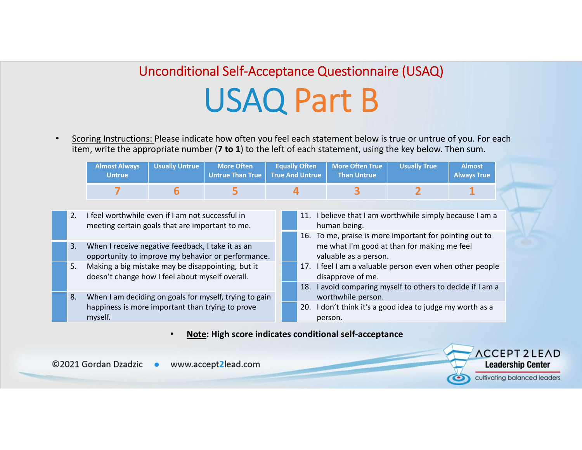### USAQ Part B Unconditional Self-Acceptance Questionnaire (USAQ)

• Scoring Instructions: Please indicate how often you feel each statement below is true or untrue of you. For each item, write the appropriate number (**7 to 1**) to the left of each statement, using the key below. Then sum.

|    | <b>Almost Always</b><br><b>Untrue</b>                                                                                 | <b>Usually Untrue</b> | <b>More Often</b><br><b>Untrue Than True</b> | <b>Equally Often</b><br><b>True And Untrue</b>                                                |                                                                                                                                                | <b>More Often True</b><br><b>Than Untrue</b> | <b>Usually True</b> | <b>Almost</b><br><b>Always True</b> |  |
|----|-----------------------------------------------------------------------------------------------------------------------|-----------------------|----------------------------------------------|-----------------------------------------------------------------------------------------------|------------------------------------------------------------------------------------------------------------------------------------------------|----------------------------------------------|---------------------|-------------------------------------|--|
|    |                                                                                                                       | 6                     | 5                                            | 4                                                                                             |                                                                                                                                                |                                              |                     |                                     |  |
| 2. | I feel worthwhile even if I am not successful in<br>meeting certain goals that are important to me.                   |                       |                                              |                                                                                               | I believe that I am worthwhile simply because I am a<br>11.<br>human being.<br>16. To me, praise is more important for pointing out to         |                                              |                     |                                     |  |
| 3. | When I receive negative feedback, I take it as an<br>opportunity to improve my behavior or performance.               |                       |                                              |                                                                                               | me what I'm good at than for making me feel<br>valuable as a person.                                                                           |                                              |                     |                                     |  |
| 5. | Making a big mistake may be disappointing, but it<br>doesn't change how I feel about myself overall.                  |                       |                                              |                                                                                               | 17. I feel I am a valuable person even when other people<br>disapprove of me.<br>I avoid comparing myself to others to decide if I am a<br>18. |                                              |                     |                                     |  |
| 8. | When I am deciding on goals for myself, trying to gain<br>happiness is more important than trying to prove<br>myself. |                       |                                              | worthwhile person.<br>I don't think it's a good idea to judge my worth as a<br>20.<br>person. |                                                                                                                                                |                                              |                     |                                     |  |
|    | Alata: Ulah sesua indicates senditional self-sessuta                                                                  |                       |                                              |                                                                                               |                                                                                                                                                |                                              |                     |                                     |  |

• **Note: High score indicates conditional self-acceptance**